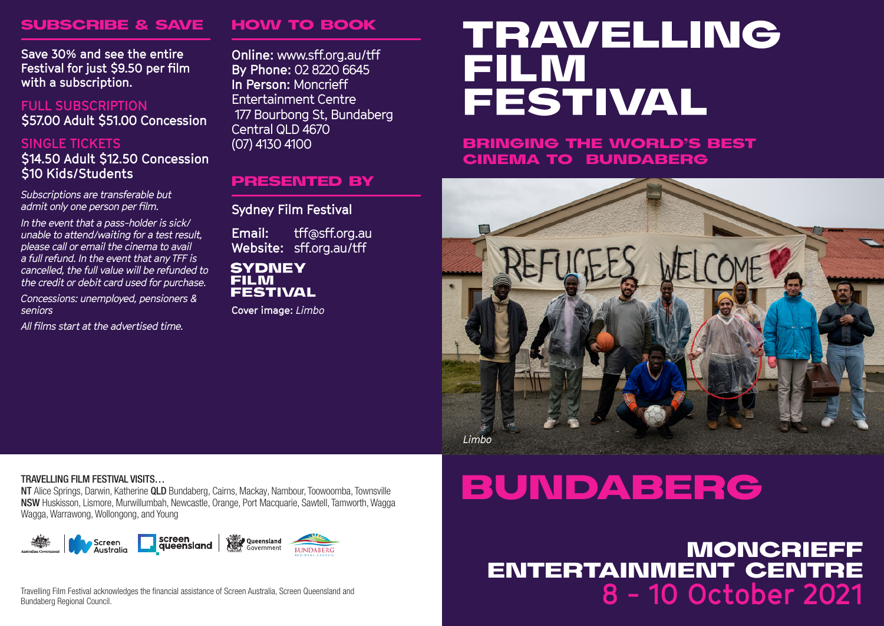## SUBSCRIBE & SAVE

**Save 30% and see the entire Festival for just \$9.50 per film with a subscription.** 

**FULL SUBSCRIPTION \$57.00 Adult \$51.00 Concession**

### **SINGLE TICKETS \$14.50 Adult \$12.50 Concession \$10 Kids/Students**

*Subscriptions are transferable but admit only one person per film.* 

*In the event that a pass-holder is sick/ unable to attend/waiting for a test result, please call or email the cinema to avail a full refund. In the event that any TFF is cancelled, the full value will be refunded to the credit or debit card used for purchase.*

*Concessions: unemployed, pensioners & seniors*

*All films start at the advertised time.* 

# HOW TO BOOK

PRESENTED BY

**Sydney Film Festival Email:** tff@sff.org.au **Website:** sff.org.au/tff

**Cover image:** *Limbo*

**SYDNEY FILM FESTIVAL** 

**Online:** www.sff.org.au/tff **By Phone:** 02 8220 6645 **In Person:** Moncrieff Entertainment Centre 177 Bourbong St, Bundaberg Central QLD 4670 (07) 4130 4100

# **TRAVELLING FILM FESTIVAL**

BRINGING THE WORLD'S BEST CINEMA TO BUNDABERG



### TRAVELLING FILM FESTIVAL VISITS…

NT Alice Springs, Darwin, Katherine QLD Bundaberg, Cairns, Mackay, Nambour, Toowoomba, Townsville NSW Huskisson, Lismore, Murwillumbah, Newcastle, Orange, Port Macquarie, Sawtell, Tamworth, Wagga Wagga, Warrawong, Wollongong, and Young



Travelling Film Festival acknowledges the financial assistance of Screen Australia, Screen Queensland and Bundaberg Regional Council.

# BUNDABERG

**8 - 10 October 2021** MONCRIEFF ENTERTAINMENT CENTRE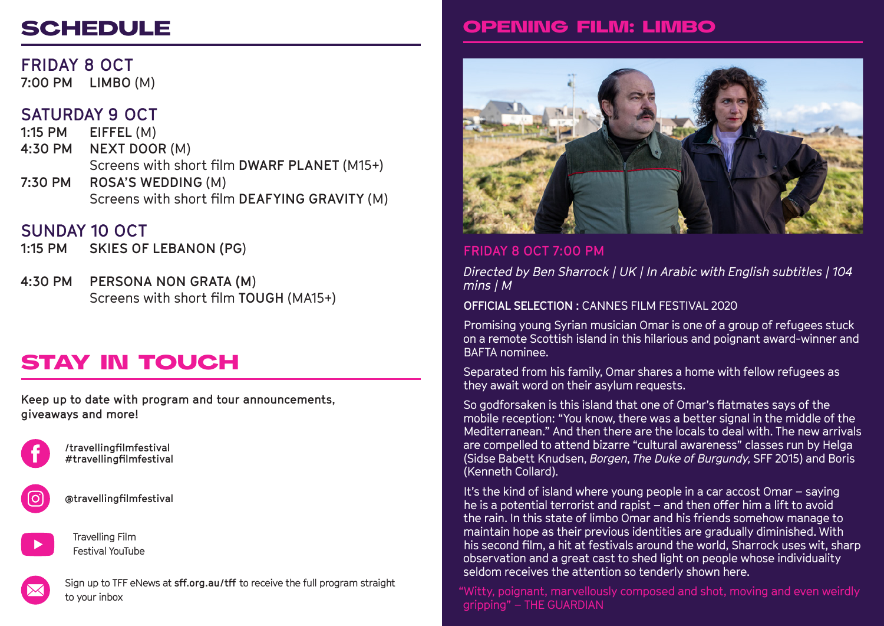# **SCHEDULE**

**FRIDAY 8 OCT 7:00 PM LIMBO** (M)

# **SATURDAY 9 OCT**

**1:15 PM EIFFEL** (M) **4:30 PM NEXT DOOR** (M) Screens with short film **DWARF PLANET** (M15+) **7:30 PM ROSA'S WEDDING** (M) Screens with short film **DEAFYING GRAVITY** (M)

# **SUNDAY 10 OCT**

**1:15 PM SKIES OF LEBANON (PG**)

**4:30 PM PERSONA NON GRATA (M**) Screens with short film **TOUGH** (MA15+)

# STAY IN TOUCH

**Keep up to date with program and tour announcements, giveaways and more!**



**/travellingfilmfestival #travellingfilmfestival**



**@travellingfilmfestival**



Travelling Film Festival YouTube

Sign up to TFF eNews at **sff.org.au/tff** to receive the full program straight to your inbox

# OPENING FILM: LIMBO



# **FRIDAY 8 OCT 7:00 PM**

*Directed by Ben Sharrock | UK | In Arabic with English subtitles | 104 mins | M* 

**OFFICIAL SELECTION :** CANNES FILM FESTIVAL 2020

Promising young Syrian musician Omar is one of a group of refugees stuck on a remote Scottish island in this hilarious and poignant award-winner and BAFTA nominee.

Separated from his family, Omar shares a home with fellow refugees as they await word on their asylum requests.

So godforsaken is this island that one of Omar's flatmates says of the mobile reception: "You know, there was a better signal in the middle of the Mediterranean." And then there are the locals to deal with. The new arrivals are compelled to attend bizarre "cultural awareness" classes run by Helga (Sidse Babett Knudsen, *Borgen*, *The Duke of Burgundy*, SFF 2015) and Boris (Kenneth Collard).

It's the kind of island where young people in a car accost Omar – saying he is a potential terrorist and rapist – and then offer him a lift to avoid the rain. In this state of limbo Omar and his friends somehow manage to maintain hope as their previous identities are gradually diminished. With his second film, a hit at festivals around the world, Sharrock uses wit, sharp observation and a great cast to shed light on people whose individuality seldom receives the attention so tenderly shown here.

"Witty, poignant, marvellously composed and shot, moving and even weirdly gripping" – THE GUARDIAN